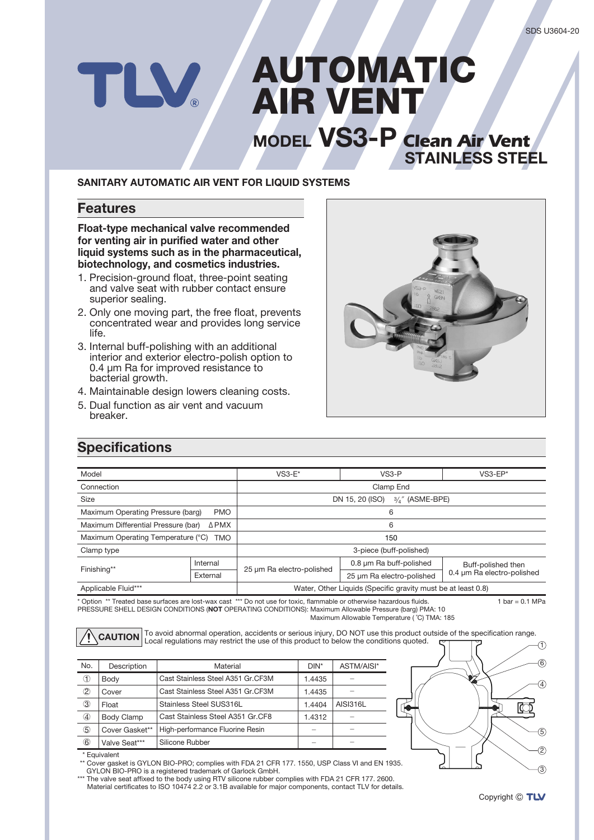# AUTOMATIC TLV. **AIR VENT MODEL VS3-P Clean Air Vent**

#### **SANITARY AUTOMATIC AIR VENT FOR LIQUID SYSTEMS**

### **Features**

**Float-type mechanical valve recommended** for venting air in purified water and other **liquid systems such as in the pharmaceutical.** biotechnology, and cosmetics industries.

- 1. Precision-ground float, three-point seating and valve seat with rubber contact ensure superior sealing.
- 2. Only one moving part, the free float, prevents concentrated wear and provides long service life.
- 3. Internal buff-polishing with an additional interior and exterior electro-polish option to  $0.4 \mu m$  Ra for improved resistance to bacterial growth.
- 4. Maintainable design lowers cleaning costs.
- 5. Dual function as air vent and vacuum .breaker



**STAINLESS STEEL** 

## **Specifications**

| Model                                            |          | $VS3-E^*$                                                    | $VS3-P$                   | $VS3$ -EP*                                       |  |  |
|--------------------------------------------------|----------|--------------------------------------------------------------|---------------------------|--------------------------------------------------|--|--|
| Connection                                       |          | Clamp End                                                    |                           |                                                  |  |  |
| Size                                             |          | DN 15, 20 (ISO)<br>$3/4$ " (ASME-BPE)                        |                           |                                                  |  |  |
| Maximum Operating Pressure (barg)<br><b>PMO</b>  |          | 6                                                            |                           |                                                  |  |  |
| Maximum Differential Pressure (bar)<br>ΔPMX      |          | 6                                                            |                           |                                                  |  |  |
| Maximum Operating Temperature (°C)<br><b>TMO</b> |          | 150                                                          |                           |                                                  |  |  |
| Clamp type                                       |          | 3-piece (buff-polished)                                      |                           |                                                  |  |  |
| Finishing**                                      | Internal | 25 µm Ra electro-polished                                    | 0.8 um Ra buff-polished   | Buff-polished then<br>0.4 µm Ra electro-polished |  |  |
|                                                  | External |                                                              | 25 µm Ra electro-polished |                                                  |  |  |
| Applicable Fluid***                              |          | Water, Other Liquids (Specific gravity must be at least 0.8) |                           |                                                  |  |  |

\* Option \*\* Treated base surfaces are lost-wax cast \*\*\* Do not use for toxic, flammable or otherwise hazardous fluids. PRESSURE SHELL DESIGN CONDITIONS (NOT OPERATING CONDITIONS): Maximum Allowable Pressure (barg) PMA: 10  $1 bar = 0.1 MPa$ 

Maximum Allowable Temperature (°C) TMA: 185

To avoid abnormal operation, accidents or serious injury, DO NOT use this product outside of the specification range. **CAUTION**Local requisitions may restrict the use of this product to below the conditions quoted.

| No.         | Description    | Material                          | $DIN^*$ | ASTM/AISI*      |  |
|-------------|----------------|-----------------------------------|---------|-----------------|--|
| ➀           | Body           | Cast Stainless Steel A351 Gr.CF3M | 1.4435  |                 |  |
| 2           | Cover          | Cast Stainless Steel A351 Gr.CF3M | 1.4435  |                 |  |
| 3           | Float          | Stainless Steel SUS316L           | 1.4404  | <b>AISI316L</b> |  |
| ④           | Body Clamp     | Cast Stainless Steel A351 Gr.CF8  | 1.4312  |                 |  |
| $\circledS$ | Cover Gasket** | High-performance Fluorine Resin   |         |                 |  |
| 6           | Valve Seat***  | Silicone Rubber                   |         |                 |  |



Equivalent \*

<sup>\*\*</sup> Cover gasket is GYLON BIO-PRO; complies with FDA 21 CFR 177. 1550, USP Class VI and EN 1935. GYLON BIO-PRO is a registered trademark of Garlock GmbH.

2600. 1792. 1792. 1792. 1792. 1792. 1792. 1792. 1792. 1792. 1793. 1794. 1794. 1794. 1794. 1794. 1794. 1795. 2600. 1 Material certificates to ISO 10474 2.2 or 3.1B available for major components, contact TLV for details.